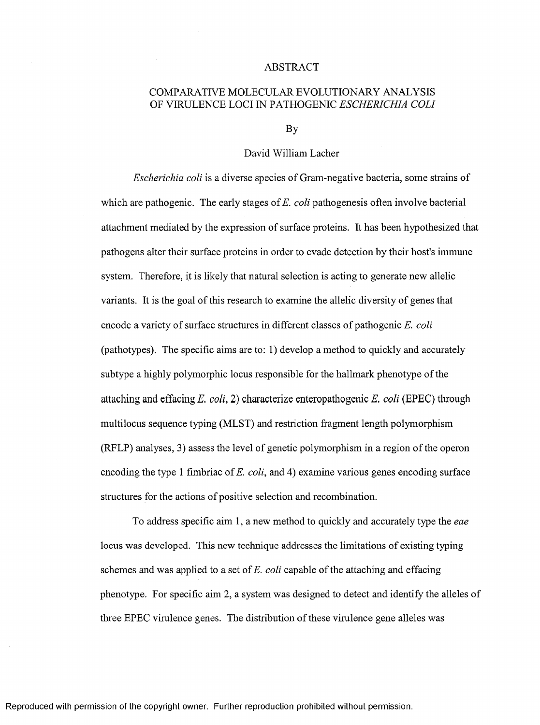## ABSTRACT

## COMPARATIVE MOLECULAR EVOLUTIONARY ANALYSIS OF VIRULENCE LOCI IN PATHOGENIC *ESCHERICHIA COLI*

By

## David William Lacher

*Escherichia coli* is a diverse species of Gram-negative bacteria, some strains of which are pathogenic. The early stages of *E. coli* pathogenesis often involve bacterial attachment mediated by the expression of surface proteins. It has been hypothesized that pathogens alter their surface proteins in order to evade detection by their host's immune system. Therefore, it is likely that natural selection is acting to generate new allelic variants. It is the goal of this research to examine the allelic diversity of genes that encode a variety of surface structures in different classes of pathogenic *E. coli* (pathotypes). The specific aims are to: 1) develop a method to quickly and accurately subtype a highly polymorphic locus responsible for the hallmark phenotype of the attaching and effacing *E. coli*, 2) characterize enteropathogenic *E. coli* (EPEC) through multilocus sequence typing (MLST) and restriction fragment length polymorphism (RFLP) analyses, 3) assess the level of genetic polymorphism in a region of the operon encoding the type 1 fimbriae of *E. coli,* and 4) examine various genes encoding surface structures for the actions of positive selection and recombination.

To address specific aim 1, a new method to quickly and accurately type the *eae* locus was developed. This new technique addresses the limitations of existing typing schemes and was applied to a set of *E. coli* capable of the attaching and effacing phenotype. For specific aim 2, a system was designed to detect and identify the alleles of three EPEC virulence genes. The distribution of these virulence gene alleles was